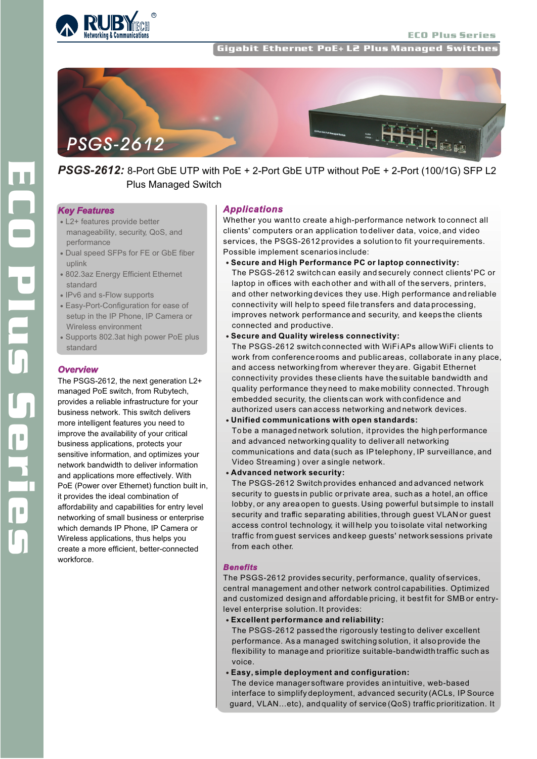

ECO Plus Series

Gigabit Ethernet PoE+ L2 Plus Managed Switches



# *PSGS-2612:* 8-Port GbE UTP with PoE + 2-Port GbE UTP without PoE + 2-Port (100/1G) SFP L2 Plus Managed Switch

## *Key Features*

- L2+ features provide better manageability, security, QoS, and performance
- Dual speed SFPs for FE or GbE fiber uplink
- 802.3az Energy Efficient Ethernet standard
- IPv6 and s-Flow supports
- Easy-Port-Configuration for ease of setup in the IP Phone, IP Camera or Wireless environment
- Supports 802.3at high power PoE plus standard

## *Overview*

The PSGS-2612, the next generation L2+ managed PoE switch, from Rubytech, provides a reliable infrastructure for your business network. This switch delivers more intelligent features you need to improve the availability of your critical business applications, protects your sensitive information, and optimizes your network bandwidth to deliver information and applications more effectively. With PoE (Power over Ethernet) function built in, it provides the ideal combination of affordability and capabilities for entry level networking of small business or enterprise which demands IP Phone, IP Camera or Wireless applications, thus helps you create a more efficient, better-connected workforce.

#### *Applications*

Whether you want to create a high-performance network to connect all clients' computers or an application to deliver data, voice, and video services, the PSGS-2612 provides a solution to fit your requirements. Possible implement scenarios include:

- **Secure and High Performance PC or laptop connectivity:** The PSGS-2612 switch can easily and securely connect clients' PC or laptop in offices with each other and with all of the servers, printers, and other networking devices they use. High performance and reliable connectivity will help to speed file transfers and data processing, improves network performance and security, and keeps the clients connected and productive.
- **Secure and Quality wireless connectivity:**

The PSGS-2612 switch connected with WiFi APs allow WiFi clients to work from conference rooms and public areas, collaborate in any place, and access networking from wherever they are. Gigabit Ethernet connectivity provides these clients have the suitable bandwidth and quality performance they need to make mobility connected. Through embedded security, the clients can work with confidence and authorized users can access networking and network devices.

- **Unified communications with open standards:** To be a managed network solution, it provides the high performance and advanced networking quality to deliver all networking communications and data (such as IP telephony, IP surveillance, and Video Streaming ) over a single network.
- **Advanced network security:**

The PSGS-2612 Switch provides enhanced and advanced network security to guests in public or private area, such as a hotel, an office lobby, or any area open to guests. Using powerful but simple to install security and traffic separating abilities, through guest VLAN or guest access control technology, it will help you to isolate vital networking traffic from guest services and keep guests' network sessions private from each other.

## *Benefits*

The PSGS-2612 provides security, performance, quality of services, central management and other network control capabilities. Optimized and customized design and affordable pricing, it best fit for SMB or entrylevel enterprise solution. It provides:

**Excellent performance and reliability:** 

The PSGS-2612 passed the rigorously testing to deliver excellent performance. As a managed switching solution, it also provide the flexibility to manage and prioritize suitable-bandwidth traffic such as voice.

**Easy, simple deployment and configuration:** 

The device manager software provides an intuitive, web-based interface to simplify deployment, advanced security (ACLs, IP Source guard, VLAN...etc), and quality of service (QoS) traffic prioritization. It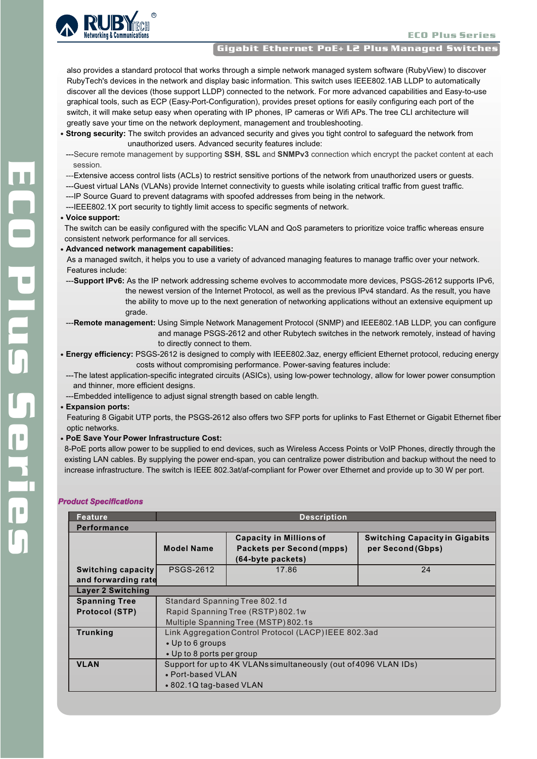

### Gigabit Ethernet PoE+ L2 Plus Managed Switches

 also provides a standard protocol that works through a simple network managed system software (RubyView) to discover RubyTech's devices in the network and display basic information. This switch uses IEEE802.1AB LLDP to automatically discover all the devices (those support LLDP) connected to the network. For more advanced capabilities and Easy-to-use graphical tools, such as ECP (Easy-Port-Configuration), provides preset options for easily configuring each port of the switch, it will make setup easy when operating with IP phones, IP cameras or Wifi APs. The tree CLI architecture will greatly save your time on the network deployment, management and troubleshooting.

- **Strong security:** The switch provides an advanced security and gives you tight control to safeguard the network from unauthorized users. Advanced security features include:
- ---Secure remote management by supporting **SSH**, **SSL** and **SNMPv3** connection which encrypt the packet content at each session.
- ---Extensive access control lists (ACLs) to restrict sensitive portions of the network from unauthorized users or guests.
- ---Guest virtual LANs (VLANs) provide Internet connectivity to guests while isolating critical traffic from guest traffic.
- ---IP Source Guard to prevent datagrams with spoofed addresses from being in the network.
- ---IEEE802.1X port security to tightly limit access to specific segments of network.

#### **Voice support:**

The switch can be easily configured with the specific VLAN and QoS parameters to prioritize voice traffic whereas ensure consistent network performance for all services.

- **Advanced network management capabilities:**
	- As a managed switch, it helps you to use a variety of advanced managing features to manage traffic over your network. Features include:
	- ---**Support IPv6:** As the IP network addressing scheme evolves to accommodate more devices, PSGS-2612 supports IPv6, the newest version of the Internet Protocol, as well as the previous IPv4 standard. As the result, you have the ability to move up to the next generation of networking applications without an extensive equipment up grade.
	- ---**Remote management:** Using Simple Network Management Protocol (SNMP) and IEEE802.1AB LLDP, you can configure and manage PSGS-2612 and other Rubytech switches in the network remotely, instead of having to directly connect to them.
- **Energy efficiency:** PSGS-2612 is designed to comply with IEEE802.3az, energy efficient Ethernet protocol, reducing energy costs without compromising performance. Power-saving features include:

---The latest application-specific integrated circuits (ASICs), using low-power technology, allow for lower power consumption and thinner, more efficient designs.

---Embedded intelligence to adjust signal strength based on cable length.

#### **Expansion ports:**

Featuring 8 Gigabit UTP ports, the PSGS-2612 also offers two SFP ports for uplinks to Fast Ethernet or Gigabit Ethernet fiber optic networks.

**PoE Save Your Power Infrastructure Cost:** 

8-PoE ports allow power to be supplied to end devices, such as Wireless Access Points or VoIP Phones, directly through the existing LAN cables. By supplying the power end-span, you can centralize power distribution and backup without the need to increase infrastructure. The switch is IEEE 802.3at/af-compliant for Power over Ethernet and provide up to 30 W per port.

#### *Product Specifications*

| Feature                  | <b>Description</b>                                               |                                  |                                       |  |  |
|--------------------------|------------------------------------------------------------------|----------------------------------|---------------------------------------|--|--|
| Performance              |                                                                  |                                  |                                       |  |  |
|                          |                                                                  | <b>Capacity in Millions of</b>   | <b>Switching Capacity in Gigabits</b> |  |  |
|                          | <b>Model Name</b>                                                | <b>Packets per Second (mpps)</b> | per Second (Gbps)                     |  |  |
|                          |                                                                  | (64-byte packets)                |                                       |  |  |
| Switching capacity       | <b>PSGS-2612</b>                                                 | 17.86                            | 24                                    |  |  |
| and forwarding rate      |                                                                  |                                  |                                       |  |  |
| <b>Layer 2 Switching</b> |                                                                  |                                  |                                       |  |  |
| <b>Spanning Tree</b>     | Standard Spanning Tree 802.1d                                    |                                  |                                       |  |  |
| <b>Protocol (STP)</b>    | Rapid Spanning Tree (RSTP) 802.1w                                |                                  |                                       |  |  |
|                          | Multiple Spanning Tree (MSTP) 802.1s                             |                                  |                                       |  |  |
| <b>Trunking</b>          | Link Aggregation Control Protocol (LACP) IEEE 802.3ad            |                                  |                                       |  |  |
|                          | • Up to 6 groups                                                 |                                  |                                       |  |  |
|                          | • Up to 8 ports per group                                        |                                  |                                       |  |  |
| <b>VLAN</b>              | Support for up to 4K VLANs simultaneously (out of 4096 VLAN IDs) |                                  |                                       |  |  |
|                          | • Port-based VLAN                                                |                                  |                                       |  |  |
|                          | • 802.1Q tag-based VLAN                                          |                                  |                                       |  |  |
|                          |                                                                  |                                  |                                       |  |  |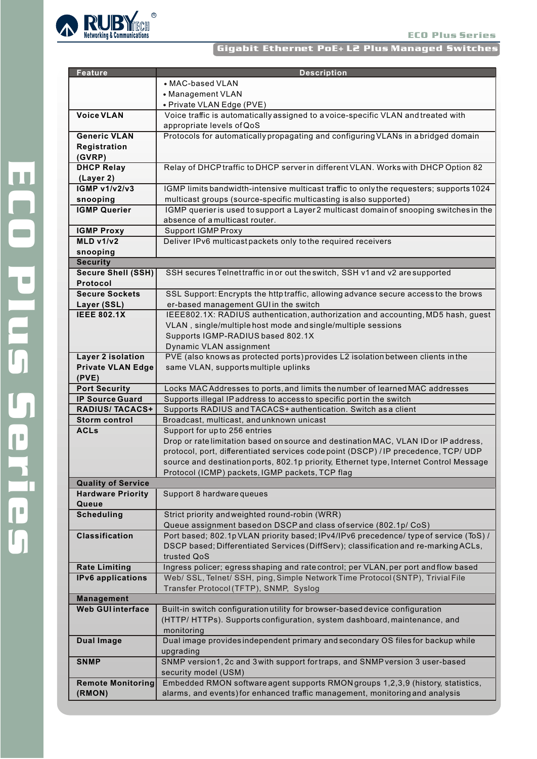#### ECO Plus Series

## Gigabit Ethernet PoE+ L2 Plus Managed Switches



| <b>Feature</b>            | <b>Description</b>                                                                                                           |  |  |  |  |
|---------------------------|------------------------------------------------------------------------------------------------------------------------------|--|--|--|--|
|                           | • MAC-based VLAN                                                                                                             |  |  |  |  |
|                           | • Management VLAN                                                                                                            |  |  |  |  |
|                           | · Private VLAN Edge (PVE)                                                                                                    |  |  |  |  |
| <b>Voice VLAN</b>         | Voice traffic is automatically assigned to avoice-specific VLAN and treated with                                             |  |  |  |  |
|                           | appropriate levels of QoS                                                                                                    |  |  |  |  |
| <b>Generic VLAN</b>       | Protocols for automatically propagating and configuring VLANs in a bridged domain                                            |  |  |  |  |
| Registration              |                                                                                                                              |  |  |  |  |
| (GVRP)                    |                                                                                                                              |  |  |  |  |
| <b>DHCP Relay</b>         | Relay of DHCP traffic to DHCP server in different VLAN. Works with DHCP Option 82                                            |  |  |  |  |
| (Layer 2)                 |                                                                                                                              |  |  |  |  |
| <b>IGMP v1/v2/v3</b>      | IGMP limits bandwidth-intensive multicast traffic to only the requesters; supports 1024                                      |  |  |  |  |
| snooping                  | multicast groups (source-specific multicasting is also supported)                                                            |  |  |  |  |
| <b>IGMP Querier</b>       | IGMP querier is used to support a Layer 2 multicast domain of snooping switches in the                                       |  |  |  |  |
|                           | absence of a multicast router.                                                                                               |  |  |  |  |
| <b>IGMP Proxy</b>         | <b>Support IGMP Proxy</b>                                                                                                    |  |  |  |  |
| MLD v1/v2                 | Deliver IPv6 multicast packets only to the required receivers                                                                |  |  |  |  |
| snooping                  |                                                                                                                              |  |  |  |  |
| <b>Security</b>           |                                                                                                                              |  |  |  |  |
| <b>Secure Shell (SSH)</b> | SSH secures Telnettraffic in or out the switch, SSH v1 and v2 are supported                                                  |  |  |  |  |
| Protocol                  |                                                                                                                              |  |  |  |  |
| <b>Secure Sockets</b>     |                                                                                                                              |  |  |  |  |
| Layer (SSL)               | SSL Support: Encrypts the http traffic, allowing advance secure access to the brows<br>er-based management GUI in the switch |  |  |  |  |
|                           |                                                                                                                              |  |  |  |  |
| <b>IEEE 802.1X</b>        | IEEE802.1X: RADIUS authentication, authorization and accounting, MD5 hash, guest                                             |  |  |  |  |
|                           | VLAN, single/multiple host mode and single/multiple sessions                                                                 |  |  |  |  |
|                           | Supports IGMP-RADIUS based 802.1X                                                                                            |  |  |  |  |
|                           | Dynamic VLAN assignment                                                                                                      |  |  |  |  |
| Layer 2 isolation         | PVE (also knows as protected ports) provides L2 isolation between clients in the                                             |  |  |  |  |
| <b>Private VLAN Edge</b>  | same VLAN, supports multiple uplinks                                                                                         |  |  |  |  |
| (PVE)                     |                                                                                                                              |  |  |  |  |
| <b>Port Security</b>      | Locks MAC Addresses to ports, and limits the number of learned MAC addresses                                                 |  |  |  |  |
| <b>IP Source Guard</b>    | Supports illegal IP address to access to specific portin the switch                                                          |  |  |  |  |
| <b>RADIUS/ TACACS+</b>    | Supports RADIUS and TACACS+ authentication. Switch as a client                                                               |  |  |  |  |
| <b>Storm control</b>      | Broadcast, multicast, and unknown unicast                                                                                    |  |  |  |  |
| <b>ACLs</b>               | Support for up to 256 entries                                                                                                |  |  |  |  |
|                           | Drop or rate limitation based on source and destination MAC, VLAN ID or IP address,                                          |  |  |  |  |
|                           | protocol, port, differentiated services codepoint (DSCP) / IP precedence, TCP/ UDP                                           |  |  |  |  |
|                           | source and destination ports, 802.1p priority, Ethernet type, Internet Control Message                                       |  |  |  |  |
|                           | Protocol (ICMP) packets, IGMP packets, TCP flag                                                                              |  |  |  |  |
| <b>Quality of Service</b> |                                                                                                                              |  |  |  |  |
| <b>Hardware Priority</b>  | Support 8 hardware queues                                                                                                    |  |  |  |  |
| Queue                     |                                                                                                                              |  |  |  |  |
| <b>Scheduling</b>         | Strict priority and weighted round-robin (WRR)                                                                               |  |  |  |  |
|                           | Queue assignment based on DSCP and class of service (802.1p/ CoS)                                                            |  |  |  |  |
| <b>Classification</b>     | Port based; 802.1pVLAN priority based; IPv4/IPv6 precedence/ type of service (ToS) /                                         |  |  |  |  |
|                           | DSCP based; Differentiated Services (DiffServ); classification and re-marking ACLs,                                          |  |  |  |  |
|                           | trusted QoS                                                                                                                  |  |  |  |  |
| <b>Rate Limiting</b>      | Ingress policer; egress shaping and rate control; per VLAN, per port and flow based                                          |  |  |  |  |
| <b>IPv6</b> applications  | Web/ SSL, Telnet/ SSH, ping, Simple Network Time Protocol (SNTP), Trivial File                                               |  |  |  |  |
|                           | Transfer Protocol (TFTP), SNMP, Syslog                                                                                       |  |  |  |  |
| Management                |                                                                                                                              |  |  |  |  |
| <b>Web GUI interface</b>  | Built-in switch configuration utility for browser-based device configuration                                                 |  |  |  |  |
|                           | (HTTP/HTTPs). Supports configuration, system dashboard, maintenance, and                                                     |  |  |  |  |
|                           | monitoring                                                                                                                   |  |  |  |  |
| <b>Dual Image</b>         | Dual image provides independent primary and secondary OS files for backup while                                              |  |  |  |  |
|                           | upgrading                                                                                                                    |  |  |  |  |
| <b>SNMP</b>               | SNMP version1, 2c and 3 with support for traps, and SNMP version 3 user-based                                                |  |  |  |  |
|                           | security model (USM)                                                                                                         |  |  |  |  |
| <b>Remote Monitoring</b>  | Embedded RMON software agent supports RMON groups 1,2,3,9 (history, statistics,                                              |  |  |  |  |
| (RMON)                    | alarms, and events) for enhanced traffic management, monitoring and analysis                                                 |  |  |  |  |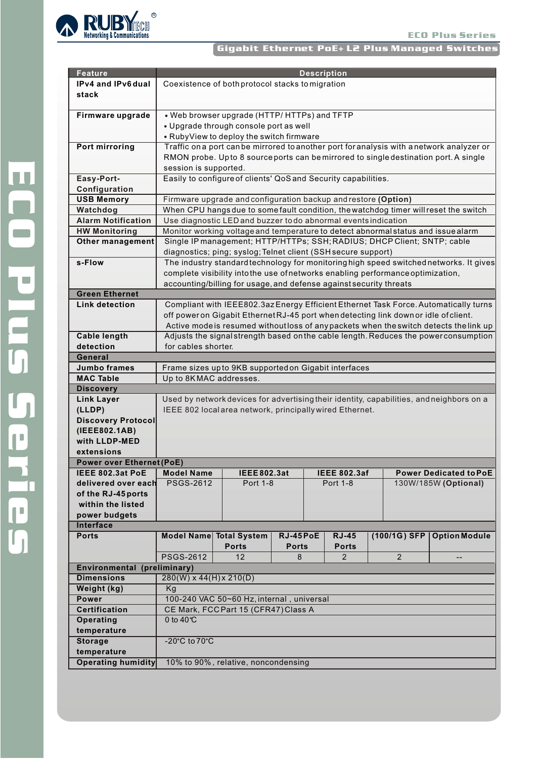

## Gigabit Ethernet PoE+ L2 Plus Managed Switches

| <b>Feature</b>                   | <b>Description</b>                                                                                                                                     |                                                                                   |                 |  |                     |                |                                                                                        |  |
|----------------------------------|--------------------------------------------------------------------------------------------------------------------------------------------------------|-----------------------------------------------------------------------------------|-----------------|--|---------------------|----------------|----------------------------------------------------------------------------------------|--|
| IPv4 and IPv6 dual               |                                                                                                                                                        | Coexistence of both protocol stacks to migration                                  |                 |  |                     |                |                                                                                        |  |
| stack                            |                                                                                                                                                        |                                                                                   |                 |  |                     |                |                                                                                        |  |
|                                  |                                                                                                                                                        |                                                                                   |                 |  |                     |                |                                                                                        |  |
| Firmware upgrade                 |                                                                                                                                                        | • Web browser upgrade (HTTP/HTTPs) and TFTP                                       |                 |  |                     |                |                                                                                        |  |
|                                  | • Upgrade through console port as well                                                                                                                 |                                                                                   |                 |  |                     |                |                                                                                        |  |
|                                  | • RubyView to deploy the switch firmware                                                                                                               |                                                                                   |                 |  |                     |                |                                                                                        |  |
| <b>Port mirroring</b>            | Traffic on a port can be mirrored to another port for analysis with a network analyzer or                                                              |                                                                                   |                 |  |                     |                |                                                                                        |  |
|                                  | RMON probe. Upto 8 source ports can be mirrored to single destination port. A single                                                                   |                                                                                   |                 |  |                     |                |                                                                                        |  |
|                                  |                                                                                                                                                        | session is supported.                                                             |                 |  |                     |                |                                                                                        |  |
| Easy-Port-                       | Easily to configure of clients' QoS and Security capabilities.                                                                                         |                                                                                   |                 |  |                     |                |                                                                                        |  |
| Configuration                    |                                                                                                                                                        |                                                                                   |                 |  |                     |                |                                                                                        |  |
| <b>USB Memory</b>                |                                                                                                                                                        | Firmware upgrade and configuration backup and restore (Option)                    |                 |  |                     |                |                                                                                        |  |
| Watchdog                         |                                                                                                                                                        |                                                                                   |                 |  |                     |                |                                                                                        |  |
| <b>Alarm Notification</b>        | When CPU hangs due to some fault condition, the watchdog timer will reset the switch<br>Use diagnostic LED and buzzer to do abnormal events indication |                                                                                   |                 |  |                     |                |                                                                                        |  |
| <b>HW Monitoring</b>             |                                                                                                                                                        | Monitor working voltage and temperature to detect abnormal status and issue alarm |                 |  |                     |                |                                                                                        |  |
| <b>Other management</b>          | Single IP management; HTTP/HTTPs; SSH; RADIUS; DHCP Client; SNTP; cable                                                                                |                                                                                   |                 |  |                     |                |                                                                                        |  |
|                                  | diagnostics; ping; syslog; Telnet client (SSH secure support)                                                                                          |                                                                                   |                 |  |                     |                |                                                                                        |  |
| s-Flow                           |                                                                                                                                                        |                                                                                   |                 |  |                     |                | The industry standard technology for monitoring high speed switched networks. It gives |  |
|                                  |                                                                                                                                                        | complete visibility into the use of networks enabling performance optimization,   |                 |  |                     |                |                                                                                        |  |
|                                  |                                                                                                                                                        | accounting/billing for usage, and defense against security threats                |                 |  |                     |                |                                                                                        |  |
| <b>Green Ethernet</b>            |                                                                                                                                                        |                                                                                   |                 |  |                     |                |                                                                                        |  |
| <b>Link detection</b>            |                                                                                                                                                        |                                                                                   |                 |  |                     |                | Compliant with IEEE802.3az Energy Efficient Ethernet Task Force. Automatically turns   |  |
|                                  | off power on Gigabit Ethernet RJ-45 port when detecting link down or idle of client.                                                                   |                                                                                   |                 |  |                     |                |                                                                                        |  |
|                                  | Active mode is resumed without loss of any packets when the switch detects the link up                                                                 |                                                                                   |                 |  |                     |                |                                                                                        |  |
| <b>Cable length</b>              | Adjusts the signal strength based on the cable length. Reduces the power consumption                                                                   |                                                                                   |                 |  |                     |                |                                                                                        |  |
| detection                        | for cables shorter.                                                                                                                                    |                                                                                   |                 |  |                     |                |                                                                                        |  |
| General                          |                                                                                                                                                        |                                                                                   |                 |  |                     |                |                                                                                        |  |
| <b>Jumbo frames</b>              |                                                                                                                                                        | Frame sizes up to 9KB supported on Gigabit interfaces                             |                 |  |                     |                |                                                                                        |  |
| <b>MAC Table</b>                 | Up to 8KMAC addresses.                                                                                                                                 |                                                                                   |                 |  |                     |                |                                                                                        |  |
| <b>Discovery</b>                 |                                                                                                                                                        |                                                                                   |                 |  |                     |                |                                                                                        |  |
| <b>Link Layer</b>                | Used by network devices for advertising their identity, capabilities, and neighbors on a                                                               |                                                                                   |                 |  |                     |                |                                                                                        |  |
| (LLDP)                           | IEEE 802 local area network, principally wired Ethernet.                                                                                               |                                                                                   |                 |  |                     |                |                                                                                        |  |
| <b>Discovery Protocol</b>        |                                                                                                                                                        |                                                                                   |                 |  |                     |                |                                                                                        |  |
| (IEEE802.1AB)                    |                                                                                                                                                        |                                                                                   |                 |  |                     |                |                                                                                        |  |
| with LLDP-MED                    |                                                                                                                                                        |                                                                                   |                 |  |                     |                |                                                                                        |  |
| extensions                       |                                                                                                                                                        |                                                                                   |                 |  |                     |                |                                                                                        |  |
| <b>Power over Ethernet (PoE)</b> |                                                                                                                                                        |                                                                                   |                 |  |                     |                |                                                                                        |  |
| IEEE 802.3at PoE   Model Name    |                                                                                                                                                        | IEEE 802.3at                                                                      |                 |  | <b>IEEE 802.3af</b> |                | Power Dealcated to PoE-                                                                |  |
| delivered over each              | <b>PSGS-2612</b>                                                                                                                                       | <b>Port 1-8</b>                                                                   |                 |  | Port 1-8            |                | 130W/185W (Optional)                                                                   |  |
| of the RJ-45 ports               |                                                                                                                                                        |                                                                                   |                 |  |                     |                |                                                                                        |  |
| within the listed                |                                                                                                                                                        |                                                                                   |                 |  |                     |                |                                                                                        |  |
| power budgets                    |                                                                                                                                                        |                                                                                   |                 |  |                     |                |                                                                                        |  |
| Interface<br><b>Ports</b>        |                                                                                                                                                        |                                                                                   | <b>RJ-45PoE</b> |  | <b>RJ-45</b>        | (100/1G) SFP   | <b>Option Module</b>                                                                   |  |
|                                  | Model Name                                                                                                                                             | <b>Total System</b><br><b>Ports</b>                                               | <b>Ports</b>    |  | <b>Ports</b>        |                |                                                                                        |  |
|                                  | <b>PSGS-2612</b>                                                                                                                                       | 12                                                                                | 8               |  | $\overline{2}$      | $\overline{2}$ | $-$                                                                                    |  |
| Environmental (preliminary)      |                                                                                                                                                        |                                                                                   |                 |  |                     |                |                                                                                        |  |
| <b>Dimensions</b>                |                                                                                                                                                        |                                                                                   |                 |  |                     |                |                                                                                        |  |
| Weight (kg)                      | $280(W) \times 44(H) \times 210(D)$<br>Kg                                                                                                              |                                                                                   |                 |  |                     |                |                                                                                        |  |
| <b>Power</b>                     | 100-240 VAC 50~60 Hz, internal, universal                                                                                                              |                                                                                   |                 |  |                     |                |                                                                                        |  |
| <b>Certification</b>             | CE Mark, FCC Part 15 (CFR47) Class A                                                                                                                   |                                                                                   |                 |  |                     |                |                                                                                        |  |
| Operating                        | 0 to $40^{\circ}$ C                                                                                                                                    |                                                                                   |                 |  |                     |                |                                                                                        |  |
| temperature                      |                                                                                                                                                        |                                                                                   |                 |  |                     |                |                                                                                        |  |
| <b>Storage</b>                   | -20 $^{\circ}$ C to 70 $^{\circ}$ C                                                                                                                    |                                                                                   |                 |  |                     |                |                                                                                        |  |
| temperature                      |                                                                                                                                                        |                                                                                   |                 |  |                     |                |                                                                                        |  |
| <b>Operating humidity</b>        |                                                                                                                                                        | 10% to 90%, relative, noncondensing                                               |                 |  |                     |                |                                                                                        |  |
|                                  |                                                                                                                                                        |                                                                                   |                 |  |                     |                |                                                                                        |  |